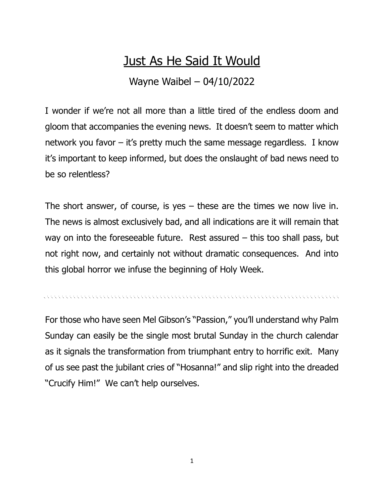## Just As He Said It Would

Wayne Waibel – 04/10/2022

I wonder if we're not all more than a little tired of the endless doom and gloom that accompanies the evening news. It doesn't seem to matter which network you favor – it's pretty much the same message regardless. I know it's important to keep informed, but does the onslaught of bad news need to be so relentless?

The short answer, of course, is yes  $-$  these are the times we now live in. The news is almost exclusively bad, and all indications are it will remain that way on into the foreseeable future. Rest assured – this too shall pass, but not right now, and certainly not without dramatic consequences. And into this global horror we infuse the beginning of Holy Week.

re en el en el en el en el en el en el en el en el en el en el en el en el en el en el en el en el en el en en

For those who have seen Mel Gibson's "Passion," you'll understand why Palm Sunday can easily be the single most brutal Sunday in the church calendar as it signals the transformation from triumphant entry to horrific exit. Many of us see past the jubilant cries of "Hosanna!" and slip right into the dreaded "Crucify Him!" We can't help ourselves.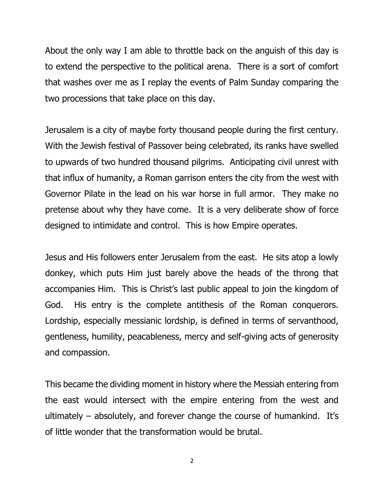About the only way I am able to throttle back on the anguish of this day is to extend the perspective to the political arena. There is a sort of comfort that washes over me as I replay the events of Palm Sunday comparing the two processions that take place on this day.

Jerusalem is a city of maybe forty thousand people during the first century. With the Jewish festival of Passover being celebrated, its ranks have swelled to upwards of two hundred thousand pilgrims. Anticipating civil unrest with that influx of humanity, a Roman garrison enters the city from the west with Governor Pilate in the lead on his war horse in full armor. They make no pretense about why they have come. It is a very deliberate show of force designed to intimidate and control. This is how Empire operates.

Jesus and His followers enter Jerusalem from the east. He sits atop a lowly donkey, which puts Him just barely above the heads of the throng that accompanies Him. This is Christ's last public appeal to join the kingdom of God. His entry is the complete antithesis of the Roman conquerors. Lordship, especially messianic lordship, is defined in terms of servanthood, gentleness, humility, peacableness, mercy and self-giving acts of generosity and compassion.

This became the dividing moment in history where the Messiah entering from the east would intersect with the empire entering from the west and ultimately – absolutely, and forever change the course of humankind. It's of little wonder that the transformation would be brutal.

2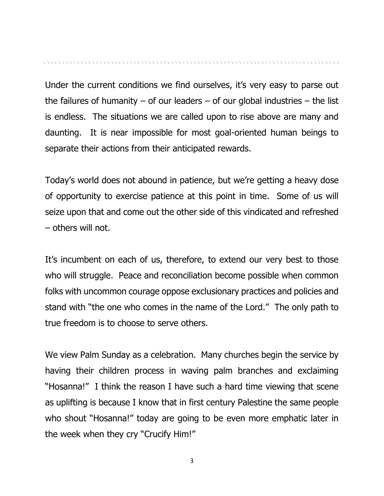Under the current conditions we find ourselves, it's very easy to parse out the failures of humanity – of our leaders – of our global industries – the list is endless. The situations we are called upon to rise above are many and daunting. It is near impossible for most goal-oriented human beings to separate their actions from their anticipated rewards.

Today's world does not abound in patience, but we're getting a heavy dose of opportunity to exercise patience at this point in time. Some of us will seize upon that and come out the other side of this vindicated and refreshed – others will not.

It's incumbent on each of us, therefore, to extend our very best to those who will struggle. Peace and reconciliation become possible when common folks with uncommon courage oppose exclusionary practices and policies and stand with "the one who comes in the name of the Lord." The only path to true freedom is to choose to serve others.

We view Palm Sunday as a celebration. Many churches begin the service by having their children process in waving palm branches and exclaiming "Hosanna!" I think the reason I have such a hard time viewing that scene as uplifting is because I know that in first century Palestine the same people who shout "Hosanna!" today are going to be even more emphatic later in the week when they cry "Crucify Him!"

3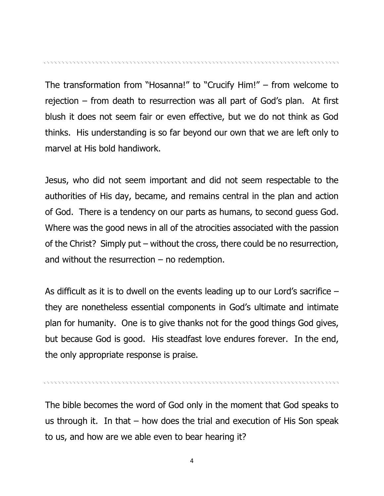The transformation from "Hosanna!" to "Crucify Him!" – from welcome to rejection – from death to resurrection was all part of God's plan. At first blush it does not seem fair or even effective, but we do not think as God thinks. His understanding is so far beyond our own that we are left only to marvel at His bold handiwork.

Jesus, who did not seem important and did not seem respectable to the authorities of His day, became, and remains central in the plan and action of God. There is a tendency on our parts as humans, to second guess God. Where was the good news in all of the atrocities associated with the passion of the Christ? Simply put – without the cross, there could be no resurrection, and without the resurrection  $-$  no redemption.

As difficult as it is to dwell on the events leading up to our Lord's sacrifice – they are nonetheless essential components in God's ultimate and intimate plan for humanity. One is to give thanks not for the good things God gives, but because God is good. His steadfast love endures forever. In the end, the only appropriate response is praise.

The bible becomes the word of God only in the moment that God speaks to us through it. In that – how does the trial and execution of His Son speak to us, and how are we able even to bear hearing it?